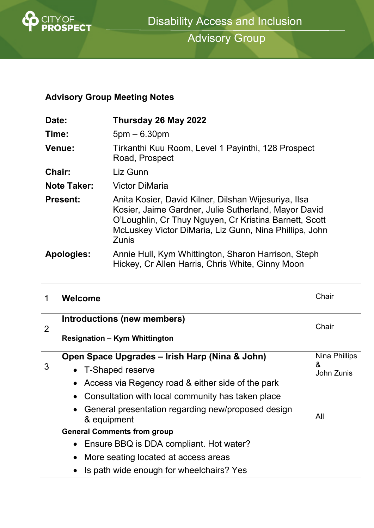

Advisory Group

# **Advisory Group Meeting Notes**

| Date:              | Thursday 26 May 2022                                                                                                                                                                                                                             |
|--------------------|--------------------------------------------------------------------------------------------------------------------------------------------------------------------------------------------------------------------------------------------------|
| Time:              | $5pm - 6.30pm$                                                                                                                                                                                                                                   |
| <b>Venue:</b>      | Tirkanthi Kuu Room, Level 1 Payinthi, 128 Prospect<br>Road, Prospect                                                                                                                                                                             |
| <b>Chair:</b>      | Liz Gunn                                                                                                                                                                                                                                         |
| <b>Note Taker:</b> | <b>Victor DiMaria</b>                                                                                                                                                                                                                            |
| <b>Present:</b>    | Anita Kosier, David Kilner, Dilshan Wijesuriya, Ilsa<br>Kosier, Jaime Gardner, Julie Sutherland, Mayor David<br>O'Loughlin, Cr Thuy Nguyen, Cr Kristina Barnett, Scott<br>McLuskey Victor DiMaria, Liz Gunn, Nina Phillips, John<br><b>Zunis</b> |
| <b>Apologies:</b>  | Annie Hull, Kym Whittington, Sharon Harrison, Steph<br>Hickey, Cr Allen Harris, Chris White, Ginny Moon                                                                                                                                          |

|   | Welcome                                                           | Chair                            |
|---|-------------------------------------------------------------------|----------------------------------|
| 2 | Introductions (new members)                                       | Chair                            |
|   | <b>Resignation - Kym Whittington</b>                              |                                  |
| 3 | Open Space Upgrades – Irish Harp (Nina & John)                    | Nina Phillips<br>&<br>John Zunis |
|   | • T-Shaped reserve                                                |                                  |
|   | Access via Regency road & either side of the park                 |                                  |
|   | Consultation with local community has taken place<br>$\bullet$    |                                  |
|   | General presentation regarding new/proposed design<br>& equipment | All                              |
|   | <b>General Comments from group</b>                                |                                  |
|   | Ensure BBQ is DDA compliant. Hot water?<br>$\bullet$              |                                  |
|   | More seating located at access areas                              |                                  |
|   | Is path wide enough for wheelchairs? Yes                          |                                  |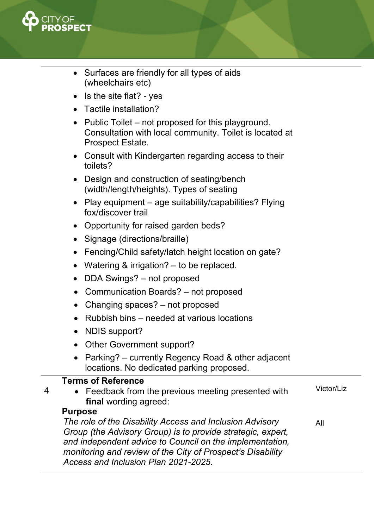

- Surfaces are friendly for all types of aids (wheelchairs etc)
- $\bullet$  Is the site flat? yes
- Tactile installation?
- Public Toilet not proposed for this playground. Consultation with local community. Toilet is located at Prospect Estate.
- Consult with Kindergarten regarding access to their toilets?
- Design and construction of seating/bench (width/length/heights). Types of seating
- Play equipment age suitability/capabilities? Flying fox/discover trail
- Opportunity for raised garden beds?
- Signage (directions/braille)
- Fencing/Child safety/latch height location on gate?
- Watering & irrigation? to be replaced.
- DDA Swings? not proposed
- Communication Boards? not proposed
- Changing spaces? not proposed
- Rubbish bins needed at various locations
- NDIS support?
- Other Government support?
- Parking? currently Regency Road & other adjacent locations. No dedicated parking proposed.

## **Terms of Reference**

4 • Feedback from the previous meeting presented with **final** wording agreed: Victor/Liz

# **Purpose**

*The role of the Disability Access and Inclusion Advisory Group (the Advisory Group) is to provide strategic, expert, and independent advice to Council on the implementation, monitoring and review of the City of Prospect's Disability Access and Inclusion Plan 2021-2025.*  All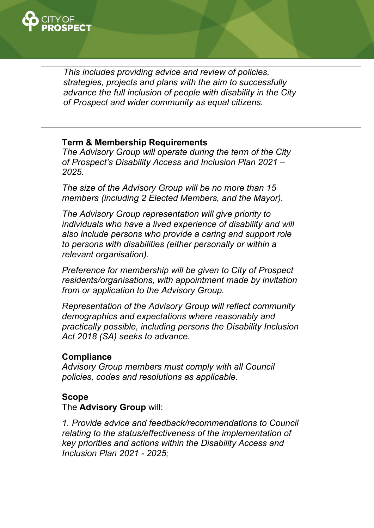

*This includes providing advice and review of policies, strategies, projects and plans with the aim to successfully advance the full inclusion of people with disability in the City of Prospect and wider community as equal citizens.* 

### **Term & Membership Requirements**

*The Advisory Group will operate during the term of the City of Prospect's Disability Access and Inclusion Plan 2021 – 2025.* 

*The size of the Advisory Group will be no more than 15 members (including 2 Elected Members, and the Mayor).* 

*The Advisory Group representation will give priority to individuals who have a lived experience of disability and will also include persons who provide a caring and support role to persons with disabilities (either personally or within a relevant organisation).* 

*Preference for membership will be given to City of Prospect residents/organisations, with appointment made by invitation from or application to the Advisory Group.* 

*Representation of the Advisory Group will reflect community demographics and expectations where reasonably and practically possible, including persons the Disability Inclusion Act 2018 (SA) seeks to advance*.

#### **Compliance**

*Advisory Group members must comply with all Council policies, codes and resolutions as applicable.* 

#### **Scope**

The **Advisory Group** will:

*1. Provide advice and feedback/recommendations to Council relating to the status/effectiveness of the implementation of key priorities and actions within the Disability Access and Inclusion Plan 2021 - 2025;*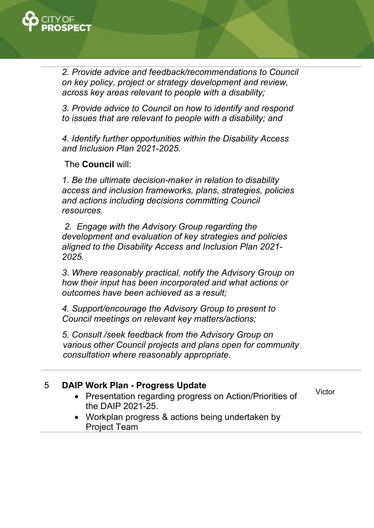

*2. Provide advice and feedback/recommendations to Council on key policy, project or strategy development and review, across key areas relevant to people with a disability;* 

*3. Provide advice to Council on how to identify and respond to issues that are relevant to people with a disability; and* 

*4. Identify further opportunities within the Disability Access and Inclusion Plan 2021-2025.* 

The **Council** will:

*1. Be the ultimate decision-maker in relation to disability access and inclusion frameworks, plans, strategies, policies and actions including decisions committing Council resources.* 

 *2. Engage with the Advisory Group regarding the development and evaluation of key strategies and policies aligned to the Disability Access and Inclusion Plan 2021- 2025.* 

*3. Where reasonably practical, notify the Advisory Group on how their input has been incorporated and what actions or outcomes have been achieved as a result;* 

*4. Support/encourage the Advisory Group to present to Council meetings on relevant key matters/actions;* 

*5. Consult /seek feedback from the Advisory Group on various other Council projects and plans open for community consultation where reasonably appropriate.* 

## 5 **DAIP Work Plan - Progress Update**

 Presentation regarding progress on Action/Priorities of the DAIP 2021-25.

Victor

 Workplan progress & actions being undertaken by Project Team